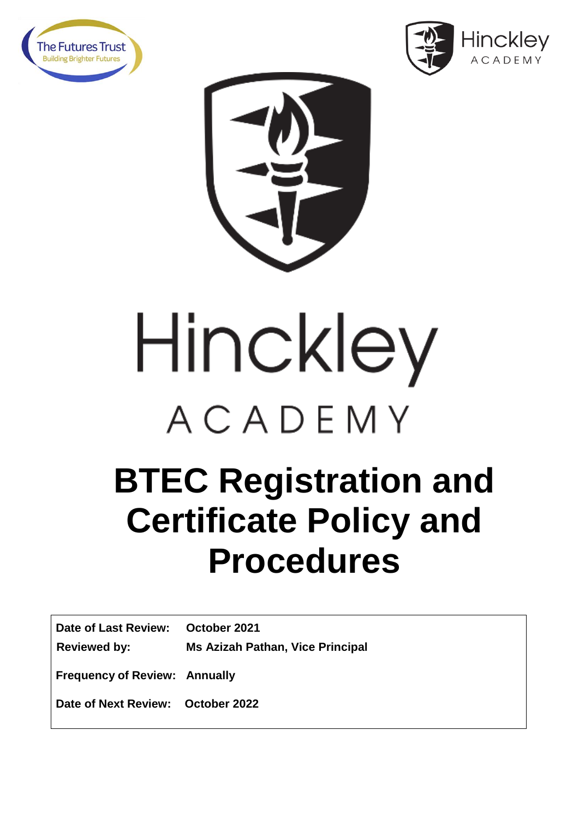





## Hinckley ACADEMY

## **BTEC Registration and Certificate Policy and Procedures**

| Date of Last Review: October 2021    |                                         |
|--------------------------------------|-----------------------------------------|
| Reviewed by:                         | <b>Ms Azizah Pathan, Vice Principal</b> |
| <b>Frequency of Review: Annually</b> |                                         |

**Date of Next Review: October 2022**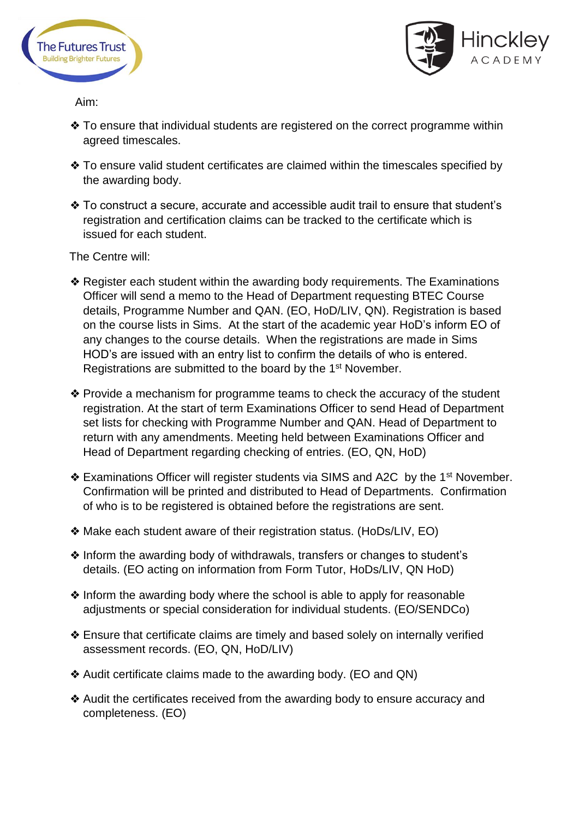



Aim:

- ❖ To ensure that individual students are registered on the correct programme within agreed timescales.
- ❖ To ensure valid student certificates are claimed within the timescales specified by the awarding body.
- ❖ To construct a secure, accurate and accessible audit trail to ensure that student's registration and certification claims can be tracked to the certificate which is issued for each student.

The Centre will:

- ❖ Register each student within the awarding body requirements. The Examinations Officer will send a memo to the Head of Department requesting BTEC Course details, Programme Number and QAN. (EO, HoD/LIV, QN). Registration is based on the course lists in Sims. At the start of the academic year HoD's inform EO of any changes to the course details. When the registrations are made in Sims HOD's are issued with an entry list to confirm the details of who is entered. Registrations are submitted to the board by the 1<sup>st</sup> November.
- ❖ Provide a mechanism for programme teams to check the accuracy of the student registration. At the start of term Examinations Officer to send Head of Department set lists for checking with Programme Number and QAN. Head of Department to return with any amendments. Meeting held between Examinations Officer and Head of Department regarding checking of entries. (EO, QN, HoD)
- ❖ Examinations Officer will register students via SIMS and A2C by the 1st November. Confirmation will be printed and distributed to Head of Departments. Confirmation of who is to be registered is obtained before the registrations are sent.
- ❖ Make each student aware of their registration status. (HoDs/LIV, EO)
- ❖ Inform the awarding body of withdrawals, transfers or changes to student's details. (EO acting on information from Form Tutor, HoDs/LIV, QN HoD)
- ❖ Inform the awarding body where the school is able to apply for reasonable adjustments or special consideration for individual students. (EO/SENDCo)
- ❖ Ensure that certificate claims are timely and based solely on internally verified assessment records. (EO, QN, HoD/LIV)
- ❖ Audit certificate claims made to the awarding body. (EO and QN)
- ❖ Audit the certificates received from the awarding body to ensure accuracy and completeness. (EO)